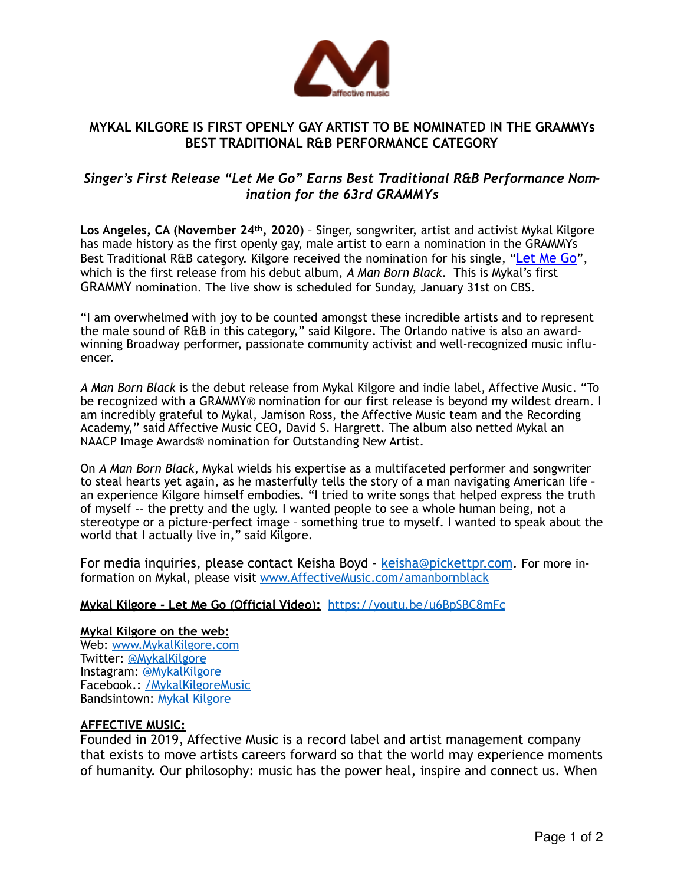

# **MYKAL KILGORE IS FIRST OPENLY GAY ARTIST TO BE NOMINATED IN THE GRAMMYs BEST TRADITIONAL R&B PERFORMANCE CATEGORY**

## *Singer's First Release "Let Me Go" Earns Best Traditional R&B Performance Nomination for the 63rd GRAMMYs*

**Los Angeles, CA (November 24th, 2020)** – Singer, songwriter, artist and activist Mykal Kilgore has made history as the first openly gay, male artist to earn a nomination in the GRAMMYs Best Traditional R&B category. Kilgore received the nomination for his single, ["Let Me Go](https://youtu.be/u6BpSBC8mFc)", which is the first release from his debut album, *A Man Born Black*. This is Mykal's first GRAMMY nomination. The live show is scheduled for Sunday, January 31st on CBS.

"I am overwhelmed with joy to be counted amongst these incredible artists and to represent the male sound of R&B in this category," said Kilgore. The Orlando native is also an awardwinning Broadway performer, passionate community activist and well-recognized music influencer.

*A Man Born Black* is the debut release from Mykal Kilgore and indie label, Affective Music. "To be recognized with a GRAMMY® nomination for our first release is beyond my wildest dream. I am incredibly grateful to Mykal, Jamison Ross, the Affective Music team and the Recording Academy," said Affective Music CEO, David S. Hargrett. The album also netted Mykal an NAACP Image Awards® nomination for Outstanding New Artist.

On *A Man Born Black*, Mykal wields his expertise as a multifaceted performer and songwriter to steal hearts yet again, as he masterfully tells the story of a man navigating American life – an experience Kilgore himself embodies. "I tried to write songs that helped express the truth of myself -- the pretty and the ugly. I wanted people to see a whole human being, not a stereotype or a picture-perfect image – something true to myself. I wanted to speak about the world that I actually live in," said Kilgore.

For media inquiries, please contact Keisha Boyd - [keisha@pickettpr.com](mailto:keisha@pickettpr.com). For more information on Mykal, please visit [www.AffectiveMusic.com/amanbornblack](http://www.affectivemusic.com/amanbornblack)

## **Mykal Kilgore - Let Me Go (Official Video):** <https://youtu.be/u6BpSBC8mFc>

### **Mykal Kilgore on the web:**

Web: [www.MykalKilgore.com](http://www.mykalkilgore.com/) Twitter: [@MykalKilgore](http://www.twitter.com/MykalKilgore) Instagram: [@MykalKilgore](http://www.instagram.com/MykalKilgore) Facebook.: [/MykalKilgoreMusic](http://www.facebook.com/MykalKilgoreMusic) Bandsintown: [Mykal Kilgore](https://www.bandsintown.com/a/1088729?came_from=257) 

### **AFFECTIVE MUSIC:**

Founded in 2019, Affective Music is a record label and artist management company that exists to move artists careers forward so that the world may experience moments of humanity. Our philosophy: music has the power heal, inspire and connect us. When